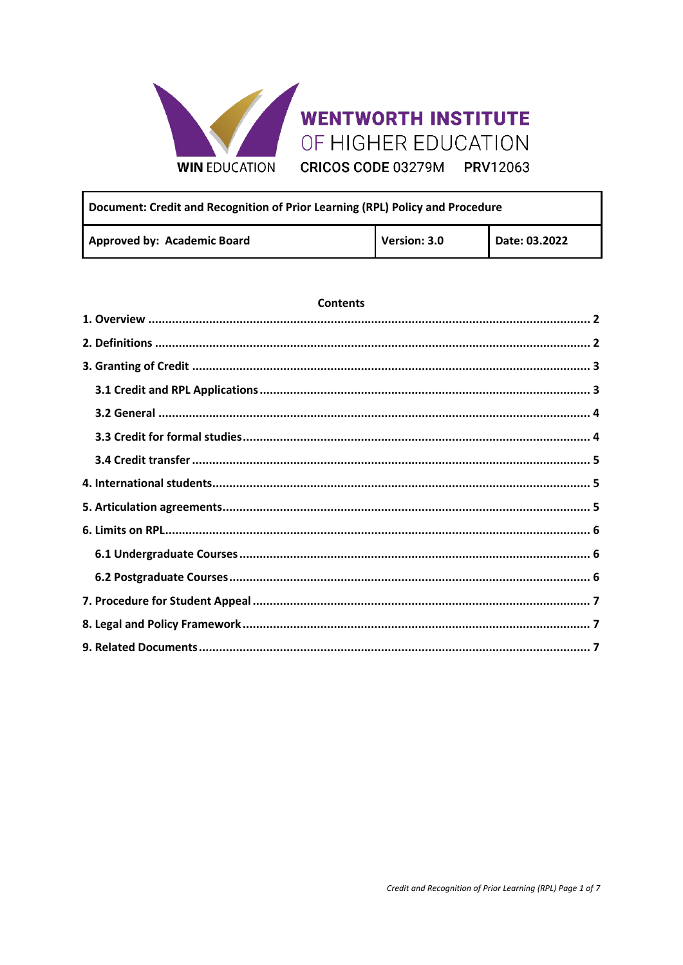

# **WENTWORTH INSTITUTE** OF HIGHER EDUCATION

CRICOS CODE 03279M PRV12063

| Document: Credit and Recognition of Prior Learning (RPL) Policy and Procedure |              |               |  |
|-------------------------------------------------------------------------------|--------------|---------------|--|
| Approved by: Academic Board                                                   | Version: 3.0 | Date: 03.2022 |  |

#### **Contents**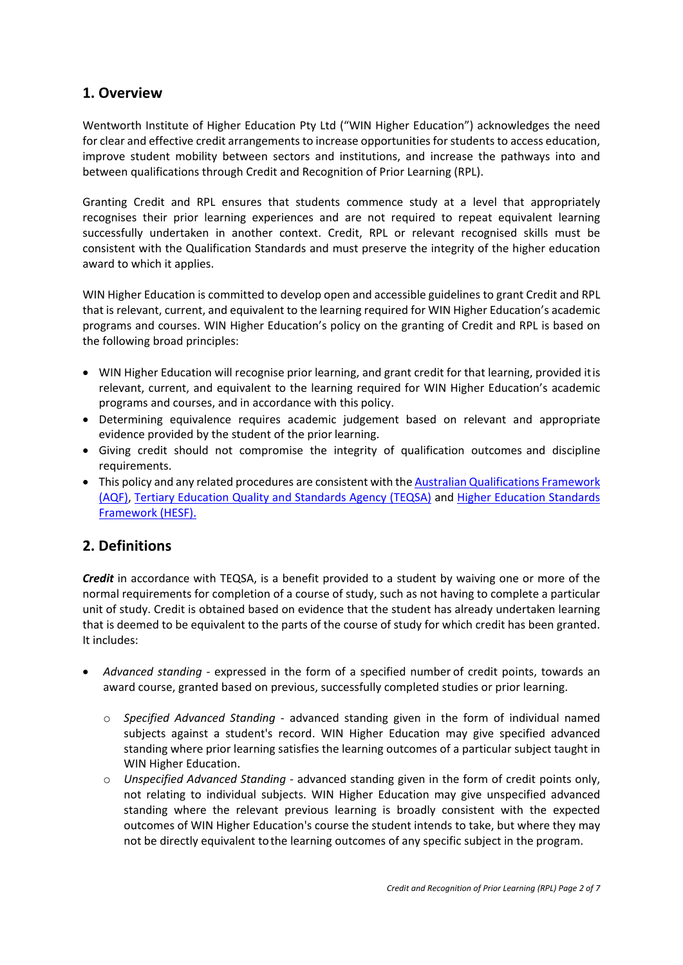## <span id="page-1-0"></span>**1. Overview**

Wentworth Institute of Higher Education Pty Ltd ("WIN Higher Education") acknowledges the need for clear and effective credit arrangements to increase opportunities for students to access education, improve student mobility between sectors and institutions, and increase the pathways into and between qualifications through Credit and Recognition of Prior Learning (RPL).

Granting Credit and RPL ensures that students commence study at a level that appropriately recognises their prior learning experiences and are not required to repeat equivalent learning successfully undertaken in another context. Credit, RPL or relevant recognised skills must be consistent with the Qualification Standards and must preserve the integrity of the higher education award to which it applies.

WIN Higher Education is committed to develop open and accessible guidelines to grant Credit and RPL that is relevant, current, and equivalent to the learning required for WIN Higher Education's academic programs and courses. WIN Higher Education's policy on the granting of Credit and RPL is based on the following broad principles:

- WIN Higher Education will recognise prior learning, and grant credit for that learning, provided it is relevant, current, and equivalent to the learning required for WIN Higher Education's academic programs and courses, and in accordance with this policy.
- Determining equivalence requires academic judgement based on relevant and appropriate evidence provided by the student of the prior learning.
- Giving credit should not compromise the integrity of qualification outcomes and discipline requirements.
- This policy and any related procedures are consistent with the **Australian Qualifications Framework** [\(AQF\),](https://www.aqf.edu.au/sites/aqf/files/aqf_pathways_jan2013.pdf) [Tertiary Education Quality and Standards Agency \(TEQSA\)](https://www.teqsa.gov.au/for-providers/resources/guidance-note-credit-and-recognition-prior-learning) and [Higher Education Standards](https://www.teqsa.gov.au/hesf-domain-1)  [Framework \(HESF\).](https://www.teqsa.gov.au/hesf-domain-1)

# <span id="page-1-1"></span>**2. Definitions**

*Credit* in accordance with TEQSA, is a benefit provided to a student by waiving one or more of the normal requirements for completion of a course of study, such as not having to complete a particular unit of study. Credit is obtained based on evidence that the student has already undertaken learning that is deemed to be equivalent to the parts of the course of study for which credit has been granted. It includes:

- *Advanced standing* expressed in the form of a specified number of credit points, towards an award course, granted based on previous, successfully completed studies or prior learning.
	- o *Specified Advanced Standing* advanced standing given in the form of individual named subjects against a student's record. WIN Higher Education may give specified advanced standing where prior learning satisfies the learning outcomes of a particular subject taught in WIN Higher Education.
	- o *Unspecified Advanced Standing* advanced standing given in the form of credit points only, not relating to individual subjects. WIN Higher Education may give unspecified advanced standing where the relevant previous learning is broadly consistent with the expected outcomes of WIN Higher Education's course the student intends to take, but where they may not be directly equivalent tothe learning outcomes of any specific subject in the program.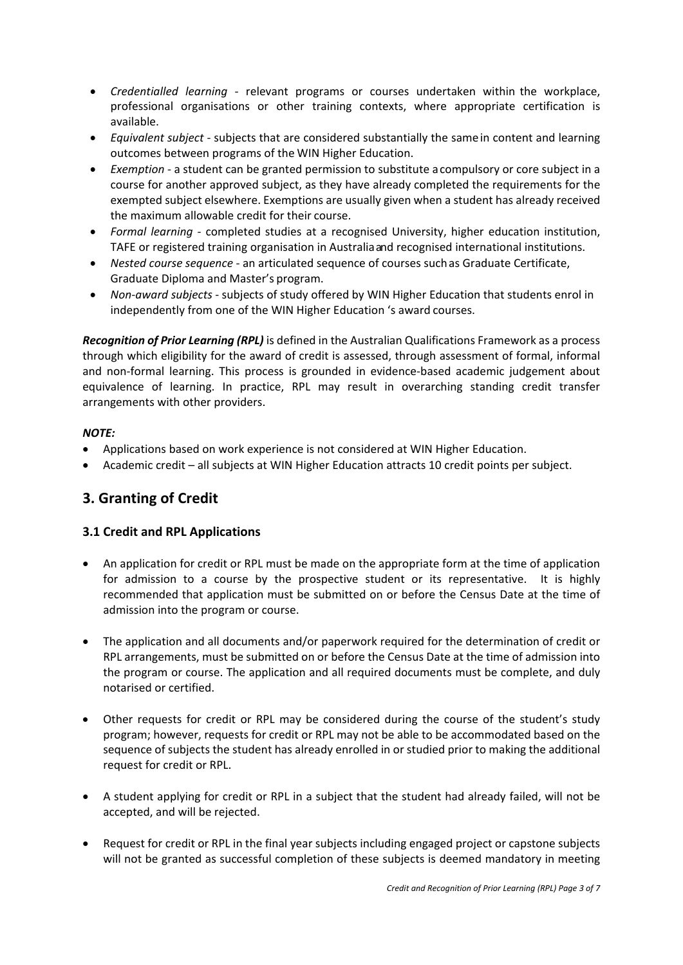- *Credentialled learning -* relevant programs or courses undertaken within the workplace, professional organisations or other training contexts, where appropriate certification is available.
- *Equivalent subject* subjects that are considered substantially the samein content and learning outcomes between programs of the WIN Higher Education.
- *Exemption*  a student can be granted permission to substitute acompulsory or core subject in a course for another approved subject, as they have already completed the requirements for the exempted subject elsewhere. Exemptions are usually given when a student has already received the maximum allowable credit for their course.
- *Formal learning* completed studies at a recognised University, higher education institution, TAFE or registered training organisation in Australiaand recognised international institutions.
- *Nested course sequence* an articulated sequence of courses suchas Graduate Certificate, Graduate Diploma and Master's program.
- *Non-award subjects* subjects of study offered by WIN Higher Education that students enrol in independently from one of the WIN Higher Education 's award courses.

*Recognition of Prior Learning (RPL)* is defined in the Australian Qualifications Framework as a process through which eligibility for the award of credit is assessed, through assessment of formal, informal and non-formal learning. This process is grounded in evidence-based academic judgement about equivalence of learning. In practice, RPL may result in overarching standing credit transfer arrangements with other providers.

#### *NOTE:*

- Applications based on work experience is not considered at WIN Higher Education.
- Academic credit all subjects at WIN Higher Education attracts 10 credit points per subject.

#### <span id="page-2-0"></span>**3. Granting of Credit**

#### <span id="page-2-1"></span>**3.1 Credit and RPL Applications**

- An application for credit or RPL must be made on the appropriate form at the time of application for admission to a course by the prospective student or its representative. It is highly recommended that application must be submitted on or before the Census Date at the time of admission into the program or course.
- The application and all documents and/or paperwork required for the determination of credit or RPL arrangements, must be submitted on or before the Census Date at the time of admission into the program or course. The application and all required documents must be complete, and duly notarised or certified.
- Other requests for credit or RPL may be considered during the course of the student's study program; however, requests for credit or RPL may not be able to be accommodated based on the sequence of subjects the student has already enrolled in or studied prior to making the additional request for credit or RPL.
- A student applying for credit or RPL in a subject that the student had already failed, will not be accepted, and will be rejected.
- Request for credit or RPL in the final year subjects including engaged project or capstone subjects will not be granted as successful completion of these subjects is deemed mandatory in meeting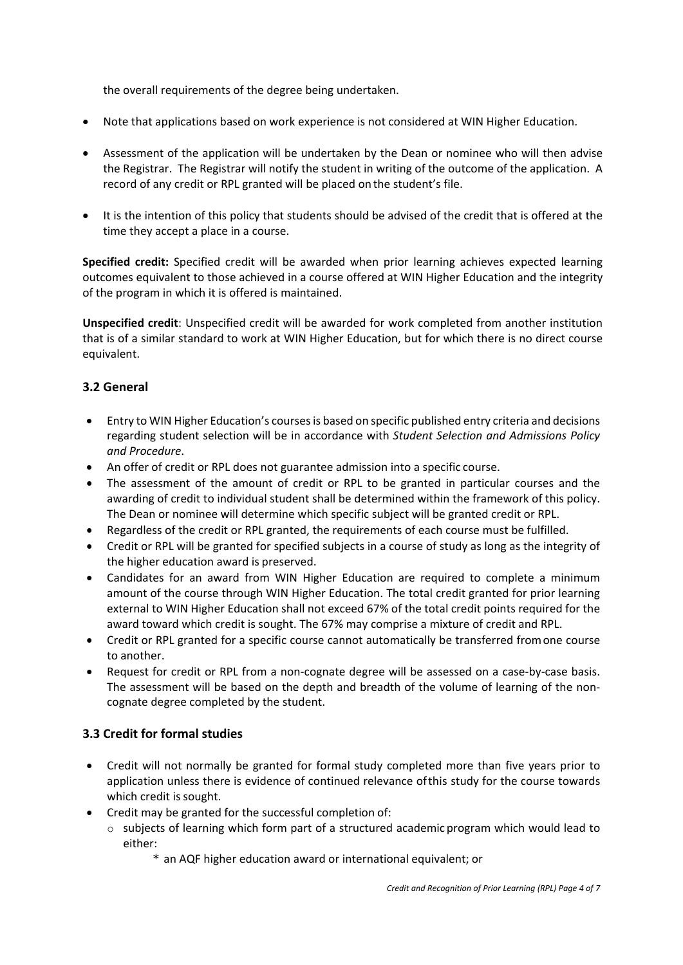the overall requirements of the degree being undertaken.

- Note that applications based on work experience is not considered at WIN Higher Education.
- Assessment of the application will be undertaken by the Dean or nominee who will then advise the Registrar. The Registrar will notify the student in writing of the outcome of the application. A record of any credit or RPL granted will be placed on the student's file.
- It is the intention of this policy that students should be advised of the credit that is offered at the time they accept a place in a course.

**Specified credit:** Specified credit will be awarded when prior learning achieves expected learning outcomes equivalent to those achieved in a course offered at WIN Higher Education and the integrity of the program in which it is offered is maintained.

**Unspecified credit**: Unspecified credit will be awarded for work completed from another institution that is of a similar standard to work at WIN Higher Education, but for which there is no direct course equivalent.

#### <span id="page-3-0"></span>**3.2 General**

- Entry to WIN Higher Education's courses is based on specific published entry criteria and decisions regarding student selection will be in accordance with *Student Selection and Admissions Policy and Procedure*.
- An offer of credit or RPL does not guarantee admission into a specific course.
- The assessment of the amount of credit or RPL to be granted in particular courses and the awarding of credit to individual student shall be determined within the framework of this policy. The Dean or nominee will determine which specific subject will be granted credit or RPL.
- Regardless of the credit or RPL granted, the requirements of each course must be fulfilled.
- Credit or RPL will be granted for specified subjects in a course of study as long as the integrity of the higher education award is preserved.
- Candidates for an award from WIN Higher Education are required to complete a minimum amount of the course through WIN Higher Education. The total credit granted for prior learning external to WIN Higher Education shall not exceed 67% of the total credit points required for the award toward which credit is sought. The 67% may comprise a mixture of credit and RPL.
- Credit or RPL granted for a specific course cannot automatically be transferred fromone course to another.
- Request for credit or RPL from a non-cognate degree will be assessed on a case-by-case basis. The assessment will be based on the depth and breadth of the volume of learning of the noncognate degree completed by the student.

#### <span id="page-3-1"></span>**3.3 Credit for formal studies**

- Credit will not normally be granted for formal study completed more than five years prior to application unless there is evidence of continued relevance ofthis study for the course towards which credit is sought.
- Credit may be granted for the successful completion of:
	- $\circ$  subjects of learning which form part of a structured academic program which would lead to either:
		- \* an AQF higher education award or international equivalent; or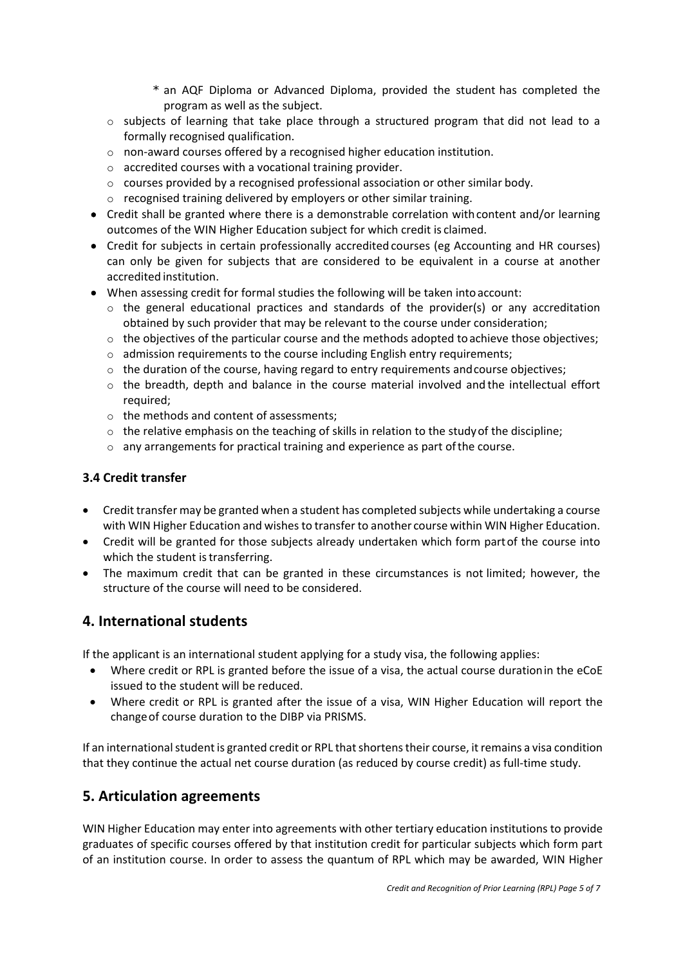- \* an AQF Diploma or Advanced Diploma, provided the student has completed the program as well as the subject.
- $\circ$  subjects of learning that take place through a structured program that did not lead to a formally recognised qualification.
- o non-award courses offered by a recognised higher education institution.
- o accredited courses with a vocational training provider.
- $\circ$  courses provided by a recognised professional association or other similar body.
- o recognised training delivered by employers or other similar training.
- Credit shall be granted where there is a demonstrable correlation with content and/or learning outcomes of the WIN Higher Education subject for which credit is claimed.
- Credit for subjects in certain professionally accredited courses (eg Accounting and HR courses) can only be given for subjects that are considered to be equivalent in a course at another accredited institution.
- When assessing credit for formal studies the following will be taken into account:
	- $\circ$  the general educational practices and standards of the provider(s) or any accreditation obtained by such provider that may be relevant to the course under consideration;
	- $\circ$  the objectives of the particular course and the methods adopted to achieve those objectives;
	- $\circ$  admission requirements to the course including English entry requirements;
	- $\circ$  the duration of the course, having regard to entry requirements and course objectives;
	- $\circ$  the breadth, depth and balance in the course material involved and the intellectual effort required;
	- o the methods and content of assessments;
	- $\circ$  the relative emphasis on the teaching of skills in relation to the study of the discipline;
	- $\circ$  any arrangements for practical training and experience as part of the course.

#### <span id="page-4-0"></span>**3.4 Credit transfer**

- Credit transfer may be granted when a student has completed subjects while undertaking a course with WIN Higher Education and wishes to transfer to another course within WIN Higher Education.
- Credit will be granted for those subjects already undertaken which form partof the course into which the student is transferring.
- The maximum credit that can be granted in these circumstances is not limited; however, the structure of the course will need to be considered.

# <span id="page-4-1"></span>**4. International students**

If the applicant is an international student applying for a study visa, the following applies:

- Where credit or RPL is granted before the issue of a visa, the actual course durationin the eCoE issued to the student will be reduced.
- Where credit or RPL is granted after the issue of a visa, WIN Higher Education will report the changeof course duration to the DIBP via PRISMS.

If an international student is granted credit or RPL that shortens their course, it remains a visa condition that they continue the actual net course duration (as reduced by course credit) as full-time study.

# <span id="page-4-2"></span>**5. Articulation agreements**

WIN Higher Education may enter into agreements with other tertiary education institutions to provide graduates of specific courses offered by that institution credit for particular subjects which form part of an institution course. In order to assess the quantum of RPL which may be awarded, WIN Higher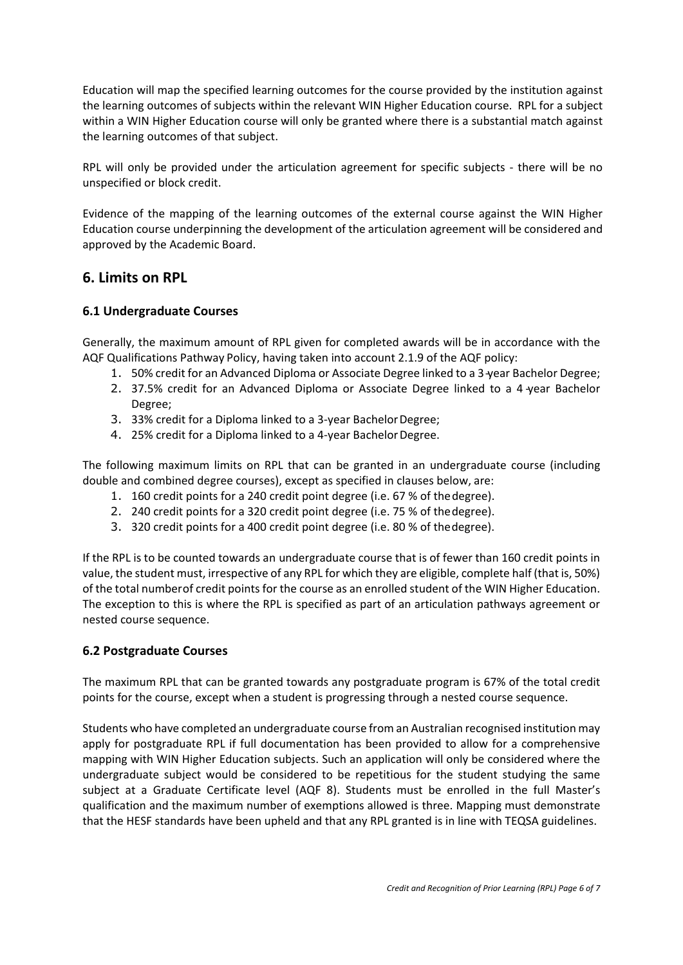Education will map the specified learning outcomes for the course provided by the institution against the learning outcomes of subjects within the relevant WIN Higher Education course. RPL for a subject within a WIN Higher Education course will only be granted where there is a substantial match against the learning outcomes of that subject.

RPL will only be provided under the articulation agreement for specific subjects - there will be no unspecified or block credit.

Evidence of the mapping of the learning outcomes of the external course against the WIN Higher Education course underpinning the development of the articulation agreement will be considered and approved by the Academic Board.

## <span id="page-5-0"></span>**6. Limits on RPL**

#### <span id="page-5-1"></span>**6.1 Undergraduate Courses**

Generally, the maximum amount of RPL given for completed awards will be in accordance with the AQF Qualifications Pathway Policy, having taken into account 2.1.9 of the AQF policy:

- 1. 50% credit for an Advanced Diploma or Associate Degree linked to a 3-year Bachelor Degree;
- 2. 37.5% credit for an Advanced Diploma or Associate Degree linked to a 4 year Bachelor Degree;
- 3. 33% credit for a Diploma linked to a 3-year BachelorDegree;
- 4. 25% credit for a Diploma linked to a 4-year Bachelor Degree.

The following maximum limits on RPL that can be granted in an undergraduate course (including double and combined degree courses), except as specified in clauses below, are:

- 1. 160 credit points for a 240 credit point degree (i.e. 67 % of thedegree).
- 2. 240 credit points for a 320 credit point degree (i.e. 75 % of thedegree).
- 3. 320 credit points for a 400 credit point degree (i.e. 80 % of thedegree).

If the RPL is to be counted towards an undergraduate course that is of fewer than 160 credit points in value, the student must, irrespective of any RPL for which they are eligible, complete half (that is, 50%) of the total numberof credit points for the course as an enrolled student of the WIN Higher Education. The exception to this is where the RPL is specified as part of an articulation pathways agreement or nested course sequence.

#### <span id="page-5-2"></span>**6.2 Postgraduate Courses**

The maximum RPL that can be granted towards any postgraduate program is 67% of the total credit points for the course, except when a student is progressing through a nested course sequence.

Students who have completed an undergraduate course from an Australian recognised institution may apply for postgraduate RPL if full documentation has been provided to allow for a comprehensive mapping with WIN Higher Education subjects. Such an application will only be considered where the undergraduate subject would be considered to be repetitious for the student studying the same subject at a Graduate Certificate level (AQF 8). Students must be enrolled in the full Master's qualification and the maximum number of exemptions allowed is three. Mapping must demonstrate that the HESF standards have been upheld and that any RPL granted is in line with TEQSA guidelines.